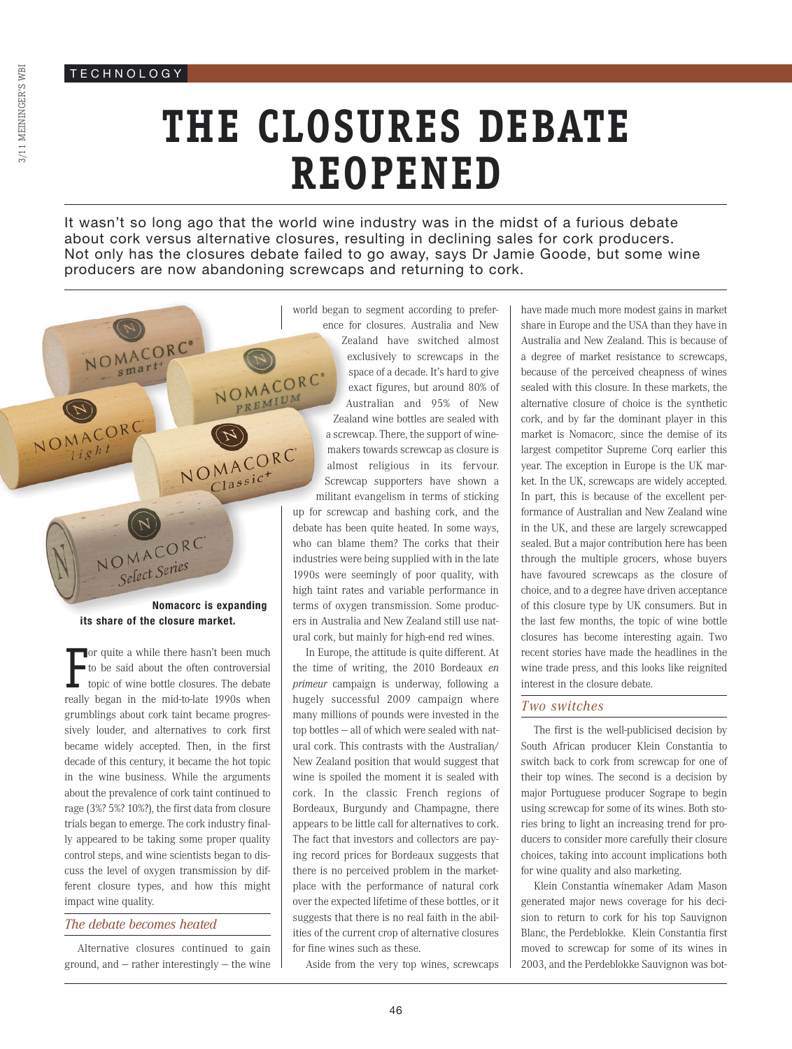NOMACORC'

NOMACORO

# **THE CLOSURES DEBATE REOPENED**

It wasn't so long ago that the world wine industry was in the midst of a furious debate about cork versus alternative closures, resulting in declining sales for cork producers. Not only has the closures debate failed to go away, says Dr Jamie Goode, but some wine producers are now abandoning screwcaps and returning to cork.

Select Series **Nomacorc is expanding its share of the closure market.**

NOMACORC

PREMIUM

NOMACORC  $\frac{1}{1}$ assic<sup>+</sup>

F or quite a while there hasn't been much to be said about the often controversial topic of wine bottle closures. The debate really began in the mid-to-late 1990s when grumblings about cork taint became progressively louder, and alternatives to cork first became widely accepted. Then, in the first decade of this century, it became the hot topic in the wine business. While the arguments about the prevalence of cork taint continued to rage (3%? 5%? 10%?), the first data from closure trials began to emerge. The cork industry finally appeared to be taking some proper quality control steps, and wine scientists began to discuss the level of oxygen transmission by different closure types, and how this might impact wine quality.

### *The debate becomes heated*

Alternative closures continued to gain ground, and — rather interestingly — the wine

world began to segment according to preference for closures. Australia and New Zealand have switched almost exclusively to screwcaps in the space of a decade. It's hard to give NOMACORC exact figures, but around 80% of Australian and 95% of New Zealand wine bottles are sealed with a screwcap. There, the support of winemakers towards screwcap as closure is almost religious in its fervour. Screwcap supporters have shown a militant evangelism in terms of sticking

up for screwcap and bashing cork, and the debate has been quite heated. In some ways, who can blame them? The corks that their industries were being supplied with in the late 1990s were seemingly of poor quality, with high taint rates and variable performance in terms of oxygen transmission. Some producers in Australia and New Zealand still use natural cork, but mainly for high-end red wines.

In Europe, the attitude is quite different. At the time of writing, the 2010 Bordeaux *en primeur* campaign is underway, following a hugely successful 2009 campaign where many millions of pounds were invested in the top bottles — all of which were sealed with natural cork. This contrasts with the Australian/ New Zealand position that would suggest that wine is spoiled the moment it is sealed with cork. In the classic French regions of Bordeaux, Burgundy and Champagne, there appears to be little call for alternatives to cork. The fact that investors and collectors are paying record prices for Bordeaux suggests that there is no perceived problem in the marketplace with the performance of natural cork over the expected lifetime of these bottles, or it suggests that there is no real faith in the abilities of the current crop of alternative closures for fine wines such as these.

Aside from the very top wines, screwcaps

have made much more modest gains in market share in Europe and the USA than they have in Australia and New Zealand. This is because of a degree of market resistance to screwcaps, because of the perceived cheapness of wines sealed with this closure. In these markets, the alternative closure of choice is the synthetic cork, and by far the dominant player in this market is Nomacorc, since the demise of its largest competitor Supreme Corq earlier this year. The exception in Europe is the UK market. In the UK, screwcaps are widely accepted. In part, this is because of the excellent performance of Australian and New Zealand wine in the UK, and these are largely screwcapped sealed. But a major contribution here has been through the multiple grocers, whose buyers have favoured screwcaps as the closure of choice, and to a degree have driven acceptance of this closure type by UK consumers. But in the last few months, the topic of wine bottle closures has become interesting again. Two recent stories have made the headlines in the wine trade press, and this looks like reignited interest in the closure debate.

### *Two switches*

The first is the well-publicised decision by South African producer Klein Constantia to switch back to cork from screwcap for one of their top wines. The second is a decision by major Portuguese producer Sogrape to begin using screwcap for some of its wines. Both stories bring to light an increasing trend for producers to consider more carefully their closure choices, taking into account implications both for wine quality and also marketing.

Klein Constantia winemaker Adam Mason generated major news coverage for his decision to return to cork for his top Sauvignon Blanc, the Perdeblokke. Klein Constantia first moved to screwcap for some of its wines in 2003, and the Perdeblokke Sauvignon was bot-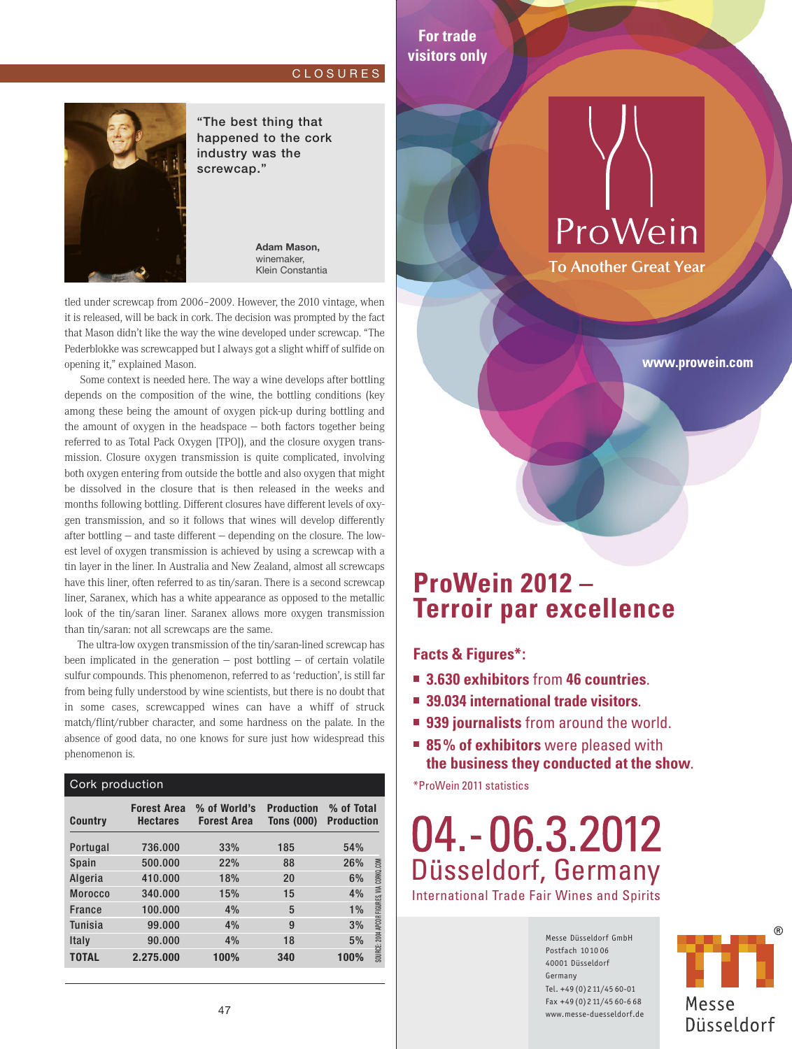### C L O S U R E S

**For trade visitors only**



"The best thing that happened to the cork industry was the screwcap."

> **Adam Mason,** winemaker, Klein Constantia

tled under screwcap from 2006–2009. However, the 2010 vintage, when it is released, will be back in cork. The decision was prompted by the fact that Mason didn't like the way the wine developed under screwcap. "The Pederblokke was screwcapped but I always got a slight whiff of sulfide on opening it," explained Mason.

Some context is needed here. The way a wine develops after bottling depends on the composition of the wine, the bottling conditions (key among these being the amount of oxygen pick-up during bottling and the amount of oxygen in the headspace — both factors together being referred to as Total Pack Oxygen [TPO]), and the closure oxygen transmission. Closure oxygen transmission is quite complicated, involving both oxygen entering from outside the bottle and also oxygen that might be dissolved in the closure that is then released in the weeks and months following bottling. Different closures have different levels of oxygen transmission, and so it follows that wines will develop differently after bottling — and taste different — depending on the closure. The lowest level of oxygen transmission is achieved by using a screwcap with a tin layer in the liner. In Australia and New Zealand, almost all screwcaps have this liner, often referred to as tin/saran. There is a second screwcap liner, Saranex, which has a white appearance as opposed to the metallic look of the tin/saran liner. Saranex allows more oxygen transmission than tin/saran: not all screwcaps are the same.

The ultra-low oxygen transmission of the tin/saran-lined screwcap has been implicated in the generation  $-$  post bottling  $-$  of certain volatile sulfur compounds. This phenomenon, referred to as 'reduction', is still far from being fully understood by wine scientists, but there is no doubt that in some cases, screwcapped wines can have a whiff of struck match/flint/rubber character, and some hardness on the palate. In the absence of good data, no one knows for sure just how widespread this phenomenon is.

| Cork production |                                       |                                    |                                        |                                                 |  |
|-----------------|---------------------------------------|------------------------------------|----------------------------------------|-------------------------------------------------|--|
| <b>Country</b>  | <b>Forest Area</b><br><b>Hectares</b> | % of World's<br><b>Forest Area</b> | <b>Production</b><br><b>Tons (000)</b> | % of Total<br><b>Production</b>                 |  |
| Portugal        | 736.000                               | 33%                                | 185                                    | 54%                                             |  |
| Spain           | 500.000                               | 22%                                | 88                                     | 26%                                             |  |
| Algeria         | 410.000                               | 18%                                | 20                                     | 6%                                              |  |
| <b>Morocco</b>  | 340.000                               | 15%                                | 15                                     | 4%                                              |  |
| <b>France</b>   | 100.000                               | 4%                                 | 5                                      | $1\%$                                           |  |
| <b>Tunisia</b>  | 99.000                                | 4%                                 | 9                                      | 3%                                              |  |
| Italy           | 90.000                                | 4%                                 | 18                                     | SOURCE: 2004 APCOR FIGURES, VIA CORKO.COM<br>5% |  |
| <b>TOTAL</b>    | 2.275,000                             | 100%                               | 340                                    | 100%                                            |  |

ProWein

**To Another Great Year** 

www.prowein.com

### **ProWein 2012 – Terroir par excellence**

**Facts & Figures\*:**

- **3.630 exhibitors** from **46 countries**.
- **39.034 international trade visitors**.
- **939 journalists** from around the world.
- 85% of exhibitors were pleased with **the business they conducted at the show**.

\*ProWein 2011 statistics

## 04. - 06.3.2012 Düsseldorf, Germany

International Trade Fair Wines and Spirits

Messe Düsseldorf GmbH Postfach 1010 06 40001 Düsseldorf Germany Tel. +49 (0) 2 11/45 60-01 Fax +49 (0)2 11/45 60-6 68 www.messe-duesseldorf.de

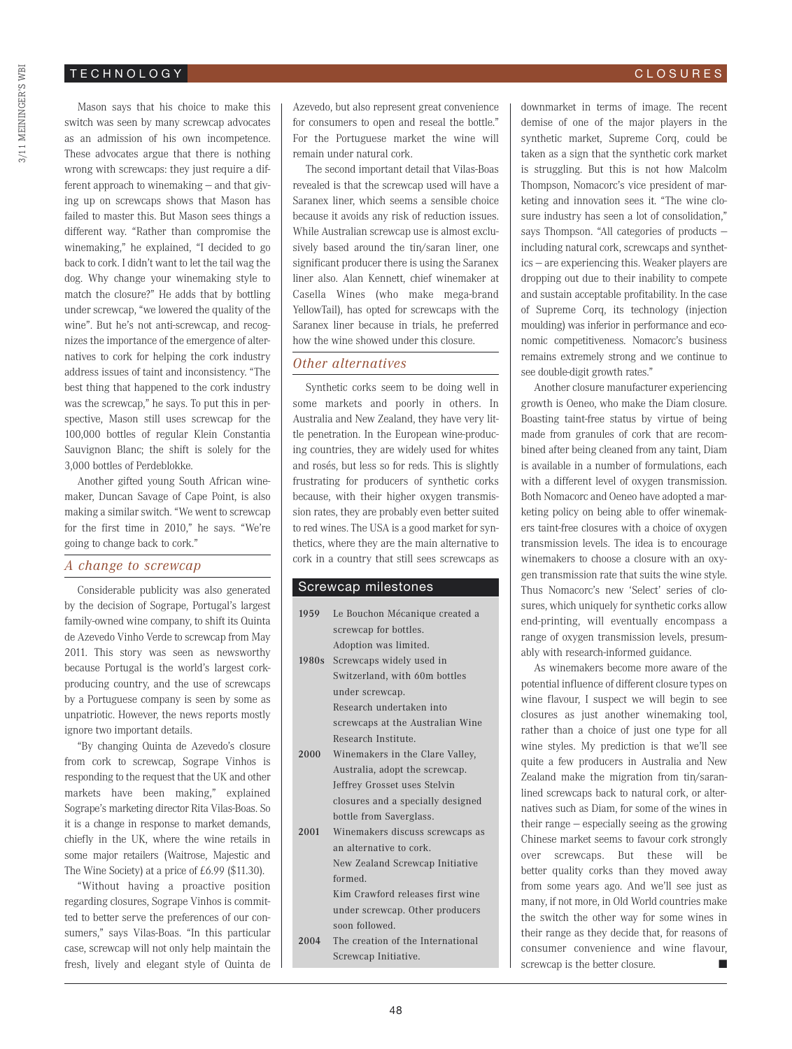### T E C H N O L O G Y

Mason says that his choice to make this switch was seen by many screwcap advocates as an admission of his own incompetence. These advocates argue that there is nothing wrong with screwcaps: they just require a different approach to winemaking — and that giving up on screwcaps shows that Mason has failed to master this. But Mason sees things a different way. "Rather than compromise the winemaking," he explained, "I decided to go back to cork. I didn't want to let the tail wag the dog. Why change your winemaking style to match the closure?" He adds that by bottling under screwcap, "we lowered the quality of the wine". But he's not anti-screwcap, and recognizes the importance of the emergence of alternatives to cork for helping the cork industry address issues of taint and inconsistency. "The best thing that happened to the cork industry was the screwcap," he says. To put this in perspective, Mason still uses screwcap for the 100,000 bottles of regular Klein Constantia Sauvignon Blanc; the shift is solely for the 3,000 bottles of Perdeblokke.

Another gifted young South African winemaker, Duncan Savage of Cape Point, is also making a similar switch. "We went to screwcap for the first time in 2010," he says. "We're going to change back to cork."

### *A change to screwcap*

Considerable publicity was also generated by the decision of Sogrape, Portugal's largest family-owned wine company, to shift its Quinta de Azevedo Vinho Verde to screwcap from May 2011. This story was seen as newsworthy because Portugal is the world's largest corkproducing country, and the use of screwcaps by a Portuguese company is seen by some as unpatriotic. However, the news reports mostly ignore two important details.

"By changing Quinta de Azevedo's closure from cork to screwcap, Sogrape Vinhos is responding to the request that the UK and other markets have been making," explained Sogrape's marketing director Rita Vilas-Boas. So it is a change in response to market demands, chiefly in the UK, where the wine retails in some major retailers (Waitrose, Majestic and The Wine Society) at a price of £6.99 (\$11.30).

"Without having a proactive position regarding closures, Sogrape Vinhos is committed to better serve the preferences of our consumers," says Vilas-Boas. "In this particular case, screwcap will not only help maintain the fresh, lively and elegant style of Quinta de Azevedo, but also represent great convenience for consumers to open and reseal the bottle." For the Portuguese market the wine will remain under natural cork.

The second important detail that Vilas-Boas revealed is that the screwcap used will have a Saranex liner, which seems a sensible choice because it avoids any risk of reduction issues. While Australian screwcap use is almost exclusively based around the tin/saran liner, one significant producer there is using the Saranex liner also. Alan Kennett, chief winemaker at Casella Wines (who make mega-brand YellowTail), has opted for screwcaps with the Saranex liner because in trials, he preferred how the wine showed under this closure.

### *Other alternatives*

Synthetic corks seem to be doing well in some markets and poorly in others. In Australia and New Zealand, they have very little penetration. In the European wine-producing countries, they are widely used for whites and rosés, but less so for reds. This is slightly frustrating for producers of synthetic corks because, with their higher oxygen transmission rates, they are probably even better suited to red wines. The USA is a good market for synthetics, where they are the main alternative to cork in a country that still sees screwcaps as

#### Screwcap milestones

| 1959  | Le Bouchon Mécanique created a    |  |  |
|-------|-----------------------------------|--|--|
|       | screwcap for bottles.             |  |  |
|       | Adoption was limited.             |  |  |
| 1980s | Screwcaps widely used in          |  |  |
|       | Switzerland, with 60m bottles     |  |  |
|       | under screwcap.                   |  |  |
|       | Research undertaken into          |  |  |
|       | screwcaps at the Australian Wine  |  |  |
|       | Research Institute.               |  |  |
| 2000  | Winemakers in the Clare Valley.   |  |  |
|       | Australia, adopt the screwcap.    |  |  |
|       | Jeffrey Grosset uses Stelvin      |  |  |
|       | closures and a specially designed |  |  |
|       | bottle from Saverglass.           |  |  |
| 2001  | Winemakers discuss screwcaps as   |  |  |
|       | an alternative to cork.           |  |  |
|       | New Zealand Screwcap Initiative   |  |  |
|       | formed.                           |  |  |
|       | Kim Crawford releases first wine  |  |  |
|       | under screwcap. Other producers   |  |  |
|       | soon followed.                    |  |  |
| 2004  | The creation of the International |  |  |
|       | Screwcap Initiative.              |  |  |

downmarket in terms of image. The recent demise of one of the major players in the synthetic market, Supreme Corq, could be taken as a sign that the synthetic cork market is struggling. But this is not how Malcolm Thompson, Nomacorc's vice president of marketing and innovation sees it. "The wine closure industry has seen a lot of consolidation," says Thompson. "All categories of products including natural cork, screwcaps and synthetics — are experiencing this. Weaker players are dropping out due to their inability to compete and sustain acceptable profitability. In the case of Supreme Corq, its technology (injection moulding) was inferior in performance and economic competitiveness. Nomacorc's business remains extremely strong and we continue to see double-digit growth rates."

Another closure manufacturer experiencing growth is Oeneo, who make the Diam closure. Boasting taint-free status by virtue of being made from granules of cork that are recombined after being cleaned from any taint, Diam is available in a number of formulations, each with a different level of oxygen transmission. Both Nomacorc and Oeneo have adopted a marketing policy on being able to offer winemakers taint-free closures with a choice of oxygen transmission levels. The idea is to encourage winemakers to choose a closure with an oxygen transmission rate that suits the wine style. Thus Nomacorc's new 'Select' series of closures, which uniquely for synthetic corks allow end-printing, will eventually encompass a range of oxygen transmission levels, presumably with research-informed guidance.

As winemakers become more aware of the potential influence of different closure types on wine flavour, I suspect we will begin to see closures as just another winemaking tool, rather than a choice of just one type for all wine styles. My prediction is that we'll see quite a few producers in Australia and New Zealand make the migration from tin/saranlined screwcaps back to natural cork, or alternatives such as Diam, for some of the wines in their range — especially seeing as the growing Chinese market seems to favour cork strongly over screwcaps. But these will be better quality corks than they moved away from some years ago. And we'll see just as many, if not more, in Old World countries make the switch the other way for some wines in their range as they decide that, for reasons of consumer convenience and wine flavour, screwcap is the better closure.